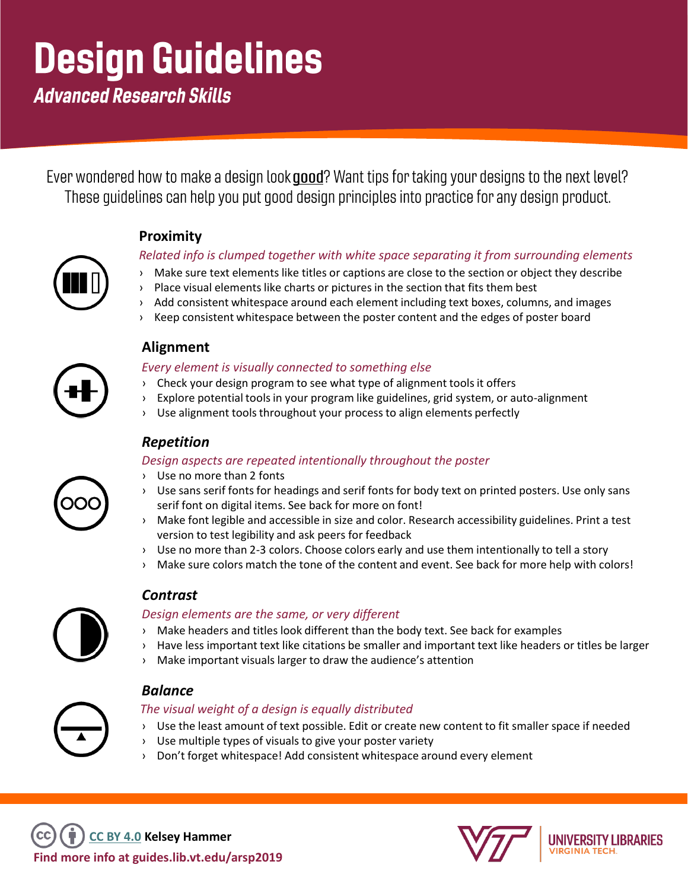# **Design Guidelines**

**Advanced Research Skills** 

Ever wondered how to make a design look good? Want tips for taking your designs to the next level? These quidelines can help you put good design principles into practice for any design product.

#### **Proximity**

#### *Related info is clumped together with white space separating it from surrounding elements*

- › Make sure text elements like titles or captions are close to the section or object they describe
- $\rightarrow$  Place visual elements like charts or pictures in the section that fits them best
- › Add consistent whitespace around each element including text boxes, columns, and images
- Keep consistent whitespace between the poster content and the edges of poster board



#### **Alignment**

*Every element is visually connected to something else*

- › Check your design program to see what type of alignment tools it offers
- › Explore potential tools in your program like guidelines, grid system, or auto-alignment
- › Use alignment tools throughout your process to align elements perfectly

#### *Repetition*

#### *Design aspects are repeated intentionally throughout the poster*

- › Use no more than 2 fonts
- › Use sans serif fonts for headings and serif fonts for body text on printed posters. Use only sans serif font on digital items. See back for more on font!
- › Make font legible and accessible in size and color. Research accessibility guidelines. Print a test version to test legibility and ask peers for feedback
- › Use no more than 2-3 colors. Choose colors early and use them intentionally to tell a story
- › Make sure colors match the tone of the content and event. See back for more help with colors!



#### *Contrast*

#### *Design elements are the same, or very different*

- Make headers and titles look different than the body text. See back for examples
- › Have less important text like citations be smaller and important text like headers or titles be larger
- › Make important visuals larger to draw the audience's attention



#### *Balance*

#### *The visual weight of a design is equally distributed*

- › Use the least amount of text possible. Edit or create new content to fit smaller space if needed
- › Use multiple types of visuals to give your poster variety
- Don't forget whitespace! Add consistent whitespace around every element

**Find more info at guides.lib.vt.edu/arsp2019 [CC BY 4.0](https://creativecommons.org/licenses/by/4.0/) Kelsey Hammer** 



UNIVERSITY LIBRARIES